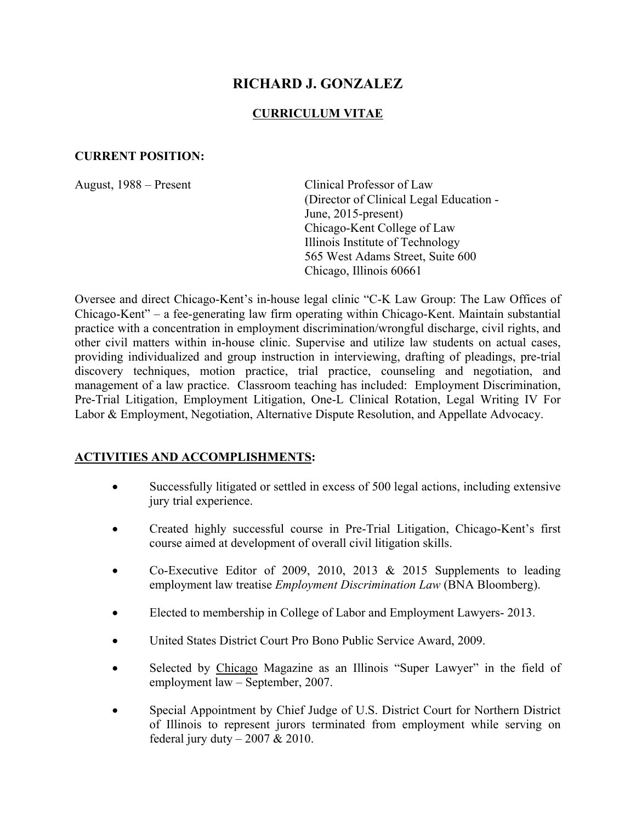# **RICHARD J. GONZALEZ**

#### **CURRICULUM VITAE**

#### **CURRENT POSITION:**

August, 1988 – Present Clinical Professor of Law (Director of Clinical Legal Education - June, 2015-present) Chicago-Kent College of Law Illinois Institute of Technology 565 West Adams Street, Suite 600 Chicago, Illinois 60661

Oversee and direct Chicago-Kent's in-house legal clinic "C-K Law Group: The Law Offices of Chicago-Kent" – a fee-generating law firm operating within Chicago-Kent. Maintain substantial practice with a concentration in employment discrimination/wrongful discharge, civil rights, and other civil matters within in-house clinic. Supervise and utilize law students on actual cases, providing individualized and group instruction in interviewing, drafting of pleadings, pre-trial discovery techniques, motion practice, trial practice, counseling and negotiation, and management of a law practice. Classroom teaching has included: Employment Discrimination, Pre-Trial Litigation, Employment Litigation, One-L Clinical Rotation, Legal Writing IV For Labor & Employment, Negotiation, Alternative Dispute Resolution, and Appellate Advocacy.

## **ACTIVITIES AND ACCOMPLISHMENTS:**

- Successfully litigated or settled in excess of 500 legal actions, including extensive jury trial experience.
- Created highly successful course in Pre-Trial Litigation, Chicago-Kent's first course aimed at development of overall civil litigation skills.
- Co-Executive Editor of 2009, 2010, 2013  $&$  2015 Supplements to leading employment law treatise *Employment Discrimination Law* (BNA Bloomberg).
- Elected to membership in College of Labor and Employment Lawyers- 2013.
- United States District Court Pro Bono Public Service Award, 2009.
- Selected by Chicago Magazine as an Illinois "Super Lawyer" in the field of employment law – September, 2007.
- Special Appointment by Chief Judge of U.S. District Court for Northern District of Illinois to represent jurors terminated from employment while serving on federal jury duty  $-2007 & 2010$ .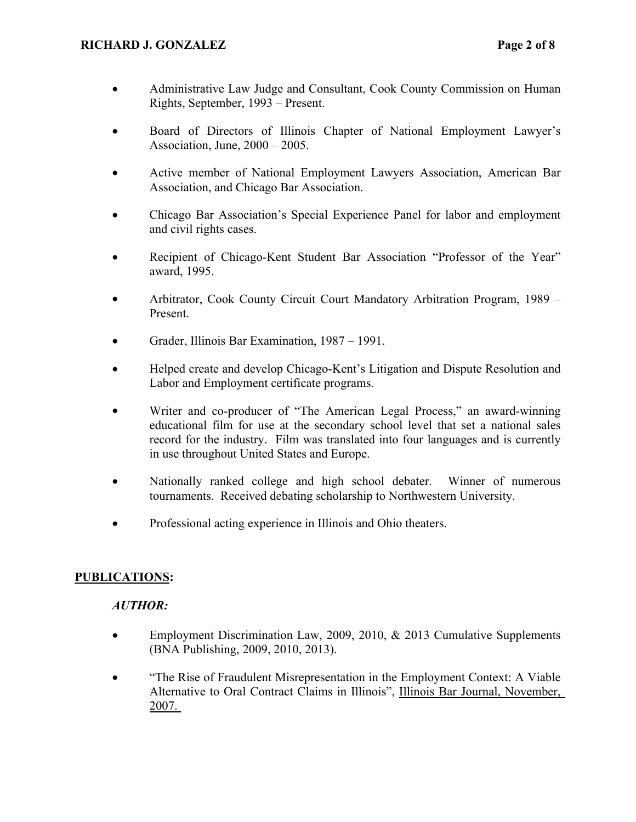- Administrative Law Judge and Consultant, Cook County Commission on Human Rights, September, 1993 – Present.
- Board of Directors of Illinois Chapter of National Employment Lawyer's Association, June, 2000 – 2005.
- Active member of National Employment Lawyers Association, American Bar Association, and Chicago Bar Association.
- Chicago Bar Association's Special Experience Panel for labor and employment and civil rights cases.
- Recipient of Chicago-Kent Student Bar Association "Professor of the Year" award, 1995.
- Arbitrator, Cook County Circuit Court Mandatory Arbitration Program, 1989 Present.
- Grader, Illinois Bar Examination, 1987 1991.
- Helped create and develop Chicago-Kent's Litigation and Dispute Resolution and Labor and Employment certificate programs.
- Writer and co-producer of "The American Legal Process," an award-winning educational film for use at the secondary school level that set a national sales record for the industry. Film was translated into four languages and is currently in use throughout United States and Europe.
- Nationally ranked college and high school debater. Winner of numerous tournaments. Received debating scholarship to Northwestern University.
- Professional acting experience in Illinois and Ohio theaters.

## **PUBLICATIONS:**

## *AUTHOR:*

- Employment Discrimination Law, 2009, 2010, & 2013 Cumulative Supplements (BNA Publishing, 2009, 2010, 2013).
- "The Rise of Fraudulent Misrepresentation in the Employment Context: A Viable Alternative to Oral Contract Claims in Illinois", Illinois Bar Journal, November, 2007.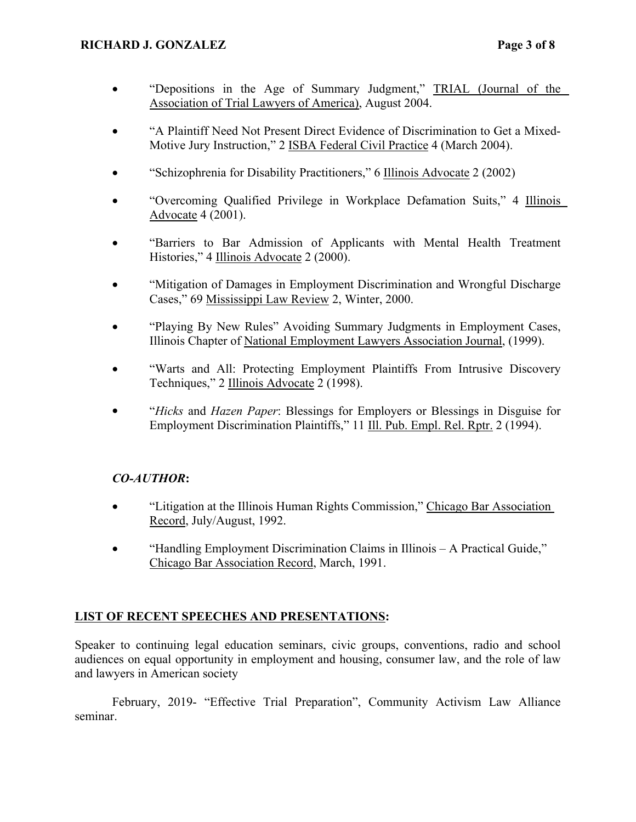- "Depositions in the Age of Summary Judgment," TRIAL (Journal of the Association of Trial Lawyers of America), August 2004.
- "A Plaintiff Need Not Present Direct Evidence of Discrimination to Get a Mixed-Motive Jury Instruction," 2 ISBA Federal Civil Practice 4 (March 2004).
- "Schizophrenia for Disability Practitioners," 6 Illinois Advocate 2 (2002)
- "Overcoming Qualified Privilege in Workplace Defamation Suits," 4 Illinois Advocate 4 (2001).
- "Barriers to Bar Admission of Applicants with Mental Health Treatment Histories," 4 Illinois Advocate 2 (2000).
- "Mitigation of Damages in Employment Discrimination and Wrongful Discharge Cases," 69 Mississippi Law Review 2, Winter, 2000.
- "Playing By New Rules" Avoiding Summary Judgments in Employment Cases, Illinois Chapter of National Employment Lawyers Association Journal, (1999).
- "Warts and All: Protecting Employment Plaintiffs From Intrusive Discovery Techniques," 2 Illinois Advocate 2 (1998).
- "*Hicks* and *Hazen Paper*: Blessings for Employers or Blessings in Disguise for Employment Discrimination Plaintiffs," 11 Ill. Pub. Empl. Rel. Rptr. 2 (1994).

## *CO-AUTHOR***:**

- "Litigation at the Illinois Human Rights Commission," Chicago Bar Association Record, July/August, 1992.
- "Handling Employment Discrimination Claims in Illinois A Practical Guide," Chicago Bar Association Record, March, 1991.

## **LIST OF RECENT SPEECHES AND PRESENTATIONS:**

Speaker to continuing legal education seminars, civic groups, conventions, radio and school audiences on equal opportunity in employment and housing, consumer law, and the role of law and lawyers in American society

February, 2019- "Effective Trial Preparation", Community Activism Law Alliance seminar.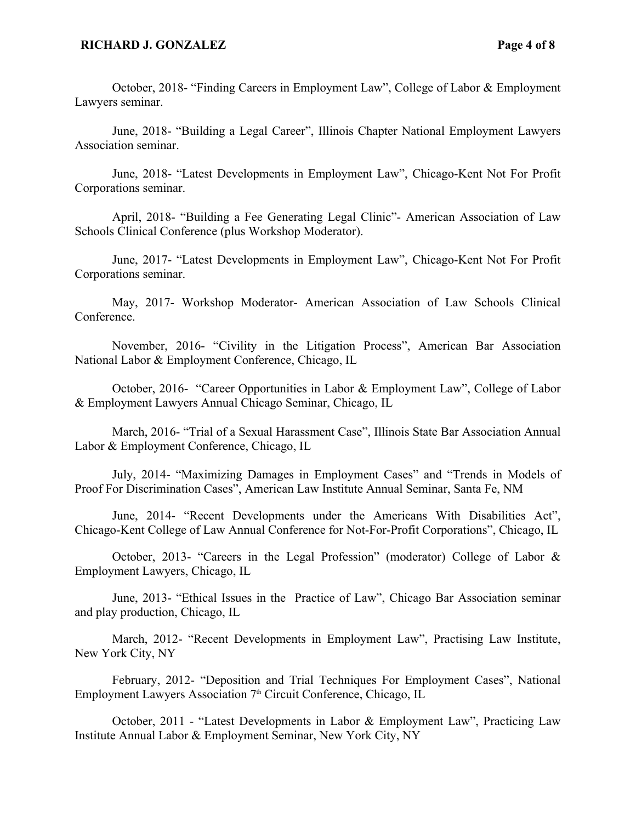#### **RICHARD J. GONZALEZ Page 4 of 8**

October, 2018- "Finding Careers in Employment Law", College of Labor & Employment Lawyers seminar.

June, 2018- "Building a Legal Career", Illinois Chapter National Employment Lawyers Association seminar.

June, 2018- "Latest Developments in Employment Law", Chicago-Kent Not For Profit Corporations seminar.

April, 2018- "Building a Fee Generating Legal Clinic"- American Association of Law Schools Clinical Conference (plus Workshop Moderator).

June, 2017- "Latest Developments in Employment Law", Chicago-Kent Not For Profit Corporations seminar.

May, 2017- Workshop Moderator- American Association of Law Schools Clinical Conference.

November, 2016- "Civility in the Litigation Process", American Bar Association National Labor & Employment Conference, Chicago, IL

October, 2016- "Career Opportunities in Labor & Employment Law", College of Labor & Employment Lawyers Annual Chicago Seminar, Chicago, IL

March, 2016- "Trial of a Sexual Harassment Case", Illinois State Bar Association Annual Labor & Employment Conference, Chicago, IL

July, 2014- "Maximizing Damages in Employment Cases" and "Trends in Models of Proof For Discrimination Cases", American Law Institute Annual Seminar, Santa Fe, NM

June, 2014- "Recent Developments under the Americans With Disabilities Act", Chicago-Kent College of Law Annual Conference for Not-For-Profit Corporations", Chicago, IL

October, 2013- "Careers in the Legal Profession" (moderator) College of Labor  $\&$ Employment Lawyers, Chicago, IL

June, 2013- "Ethical Issues in the Practice of Law", Chicago Bar Association seminar and play production, Chicago, IL

March, 2012- "Recent Developments in Employment Law", Practising Law Institute, New York City, NY

February, 2012- "Deposition and Trial Techniques For Employment Cases", National Employment Lawyers Association 7<sup>th</sup> Circuit Conference, Chicago, IL

October, 2011 - "Latest Developments in Labor & Employment Law", Practicing Law Institute Annual Labor & Employment Seminar, New York City, NY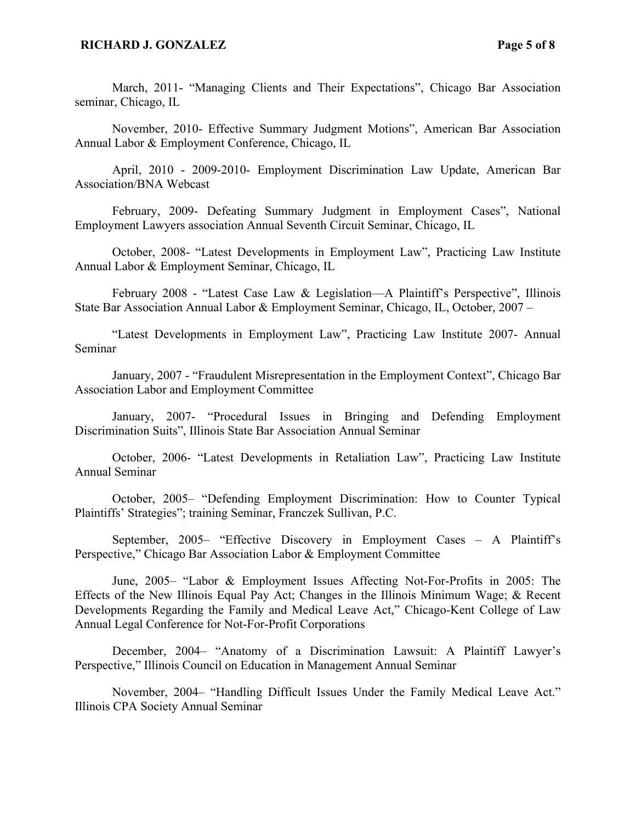#### **RICHARD J. GONZALEZ Page 5 of 8**

March, 2011- "Managing Clients and Their Expectations", Chicago Bar Association seminar, Chicago, IL

November, 2010- Effective Summary Judgment Motions", American Bar Association Annual Labor & Employment Conference, Chicago, IL

April, 2010 - 2009-2010- Employment Discrimination Law Update, American Bar Association/BNA Webcast

February, 2009- Defeating Summary Judgment in Employment Cases", National Employment Lawyers association Annual Seventh Circuit Seminar, Chicago, IL

October, 2008- "Latest Developments in Employment Law", Practicing Law Institute Annual Labor & Employment Seminar, Chicago, IL

February 2008 - "Latest Case Law & Legislation—A Plaintiff's Perspective", Illinois State Bar Association Annual Labor & Employment Seminar, Chicago, IL, October, 2007 –

"Latest Developments in Employment Law", Practicing Law Institute 2007- Annual Seminar

January, 2007 - "Fraudulent Misrepresentation in the Employment Context", Chicago Bar Association Labor and Employment Committee

January, 2007- "Procedural Issues in Bringing and Defending Employment Discrimination Suits", Illinois State Bar Association Annual Seminar

October, 2006- "Latest Developments in Retaliation Law", Practicing Law Institute Annual Seminar

October, 2005– "Defending Employment Discrimination: How to Counter Typical Plaintiffs' Strategies"; training Seminar, Franczek Sullivan, P.C.

September, 2005– "Effective Discovery in Employment Cases – A Plaintiff's Perspective," Chicago Bar Association Labor & Employment Committee

June, 2005– "Labor & Employment Issues Affecting Not-For-Profits in 2005: The Effects of the New Illinois Equal Pay Act; Changes in the Illinois Minimum Wage; & Recent Developments Regarding the Family and Medical Leave Act," Chicago-Kent College of Law Annual Legal Conference for Not-For-Profit Corporations

December, 2004– "Anatomy of a Discrimination Lawsuit: A Plaintiff Lawyer's Perspective," Illinois Council on Education in Management Annual Seminar

November, 2004– "Handling Difficult Issues Under the Family Medical Leave Act." Illinois CPA Society Annual Seminar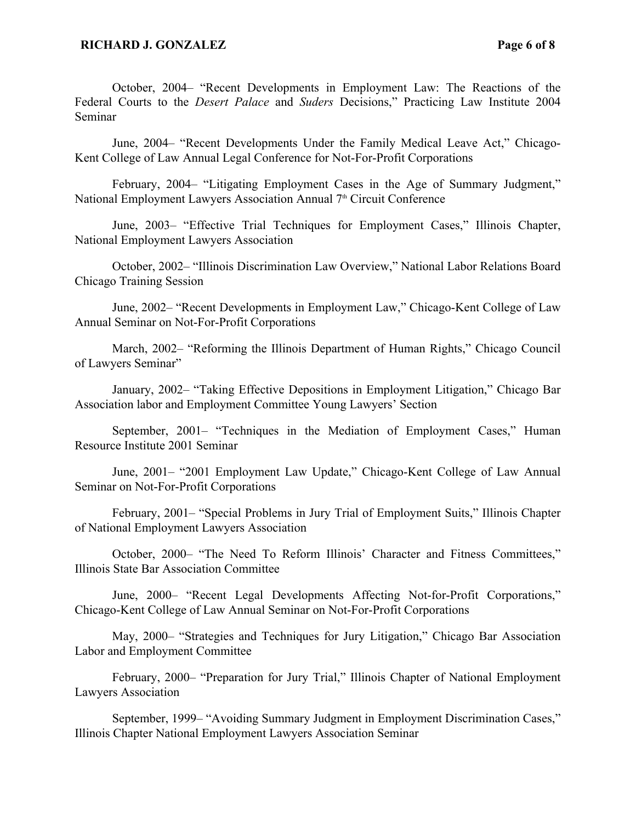October, 2004– "Recent Developments in Employment Law: The Reactions of the Federal Courts to the *Desert Palace* and *Suders* Decisions," Practicing Law Institute 2004 Seminar

June, 2004– "Recent Developments Under the Family Medical Leave Act," Chicago-Kent College of Law Annual Legal Conference for Not-For-Profit Corporations

February, 2004– "Litigating Employment Cases in the Age of Summary Judgment," National Employment Lawyers Association Annual 7<sup>th</sup> Circuit Conference

June, 2003– "Effective Trial Techniques for Employment Cases," Illinois Chapter, National Employment Lawyers Association

October, 2002– "Illinois Discrimination Law Overview," National Labor Relations Board Chicago Training Session

June, 2002– "Recent Developments in Employment Law," Chicago-Kent College of Law Annual Seminar on Not-For-Profit Corporations

March, 2002– "Reforming the Illinois Department of Human Rights," Chicago Council of Lawyers Seminar"

January, 2002– "Taking Effective Depositions in Employment Litigation," Chicago Bar Association labor and Employment Committee Young Lawyers' Section

September, 2001– "Techniques in the Mediation of Employment Cases," Human Resource Institute 2001 Seminar

June, 2001– "2001 Employment Law Update," Chicago-Kent College of Law Annual Seminar on Not-For-Profit Corporations

February, 2001– "Special Problems in Jury Trial of Employment Suits," Illinois Chapter of National Employment Lawyers Association

October, 2000– "The Need To Reform Illinois' Character and Fitness Committees," Illinois State Bar Association Committee

June, 2000– "Recent Legal Developments Affecting Not-for-Profit Corporations," Chicago-Kent College of Law Annual Seminar on Not-For-Profit Corporations

May, 2000– "Strategies and Techniques for Jury Litigation," Chicago Bar Association Labor and Employment Committee

February, 2000– "Preparation for Jury Trial," Illinois Chapter of National Employment Lawyers Association

September, 1999– "Avoiding Summary Judgment in Employment Discrimination Cases," Illinois Chapter National Employment Lawyers Association Seminar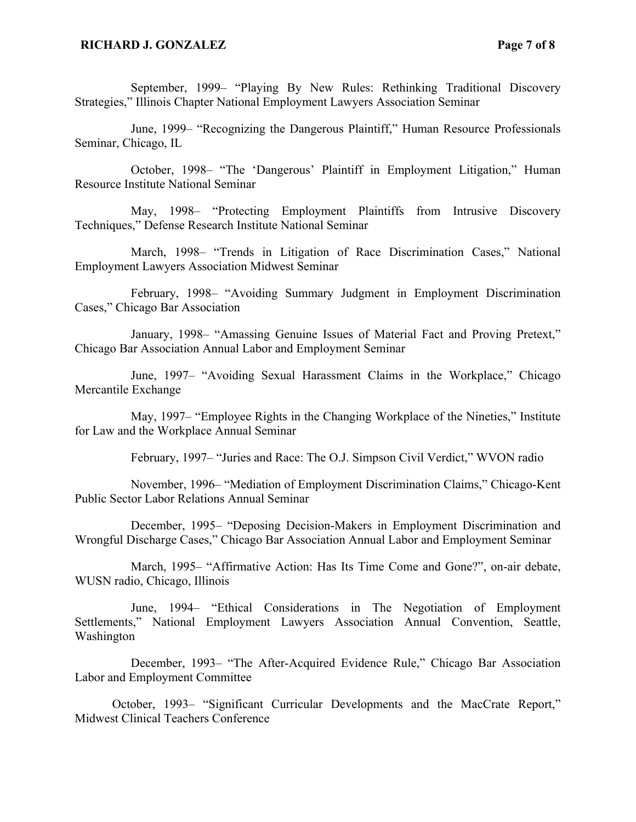September, 1999– "Playing By New Rules: Rethinking Traditional Discovery Strategies," Illinois Chapter National Employment Lawyers Association Seminar

June, 1999– "Recognizing the Dangerous Plaintiff," Human Resource Professionals Seminar, Chicago, IL

October, 1998– "The 'Dangerous' Plaintiff in Employment Litigation," Human Resource Institute National Seminar

May, 1998– "Protecting Employment Plaintiffs from Intrusive Discovery Techniques," Defense Research Institute National Seminar

March, 1998– "Trends in Litigation of Race Discrimination Cases," National Employment Lawyers Association Midwest Seminar

February, 1998– "Avoiding Summary Judgment in Employment Discrimination Cases," Chicago Bar Association

January, 1998– "Amassing Genuine Issues of Material Fact and Proving Pretext," Chicago Bar Association Annual Labor and Employment Seminar

June, 1997– "Avoiding Sexual Harassment Claims in the Workplace," Chicago Mercantile Exchange

May, 1997– "Employee Rights in the Changing Workplace of the Nineties," Institute for Law and the Workplace Annual Seminar

February, 1997– "Juries and Race: The O.J. Simpson Civil Verdict," WVON radio

November, 1996– "Mediation of Employment Discrimination Claims," Chicago-Kent Public Sector Labor Relations Annual Seminar

December, 1995– "Deposing Decision-Makers in Employment Discrimination and Wrongful Discharge Cases," Chicago Bar Association Annual Labor and Employment Seminar

March, 1995– "Affirmative Action: Has Its Time Come and Gone?", on-air debate, WUSN radio, Chicago, Illinois

June, 1994– "Ethical Considerations in The Negotiation of Employment Settlements," National Employment Lawyers Association Annual Convention, Seattle, Washington

December, 1993– "The After-Acquired Evidence Rule," Chicago Bar Association Labor and Employment Committee

October, 1993– "Significant Curricular Developments and the MacCrate Report," Midwest Clinical Teachers Conference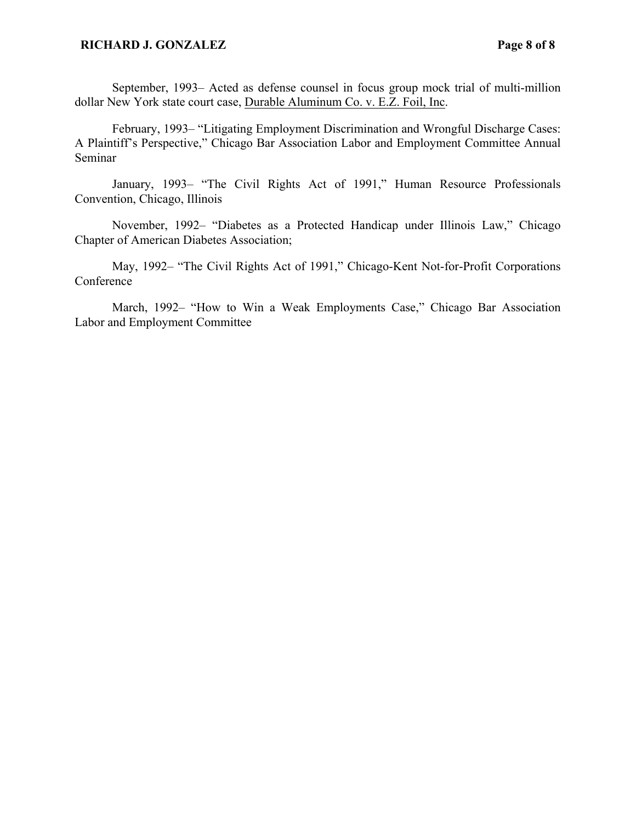#### **RICHARD J. GONZALEZ** Page 8 of 8

September, 1993– Acted as defense counsel in focus group mock trial of multi-million dollar New York state court case, Durable Aluminum Co. v. E.Z. Foil, Inc.

February, 1993– "Litigating Employment Discrimination and Wrongful Discharge Cases: A Plaintiff's Perspective," Chicago Bar Association Labor and Employment Committee Annual Seminar

January, 1993– "The Civil Rights Act of 1991," Human Resource Professionals Convention, Chicago, Illinois

November, 1992– "Diabetes as a Protected Handicap under Illinois Law," Chicago Chapter of American Diabetes Association;

May, 1992– "The Civil Rights Act of 1991," Chicago-Kent Not-for-Profit Corporations Conference

March, 1992– "How to Win a Weak Employments Case," Chicago Bar Association Labor and Employment Committee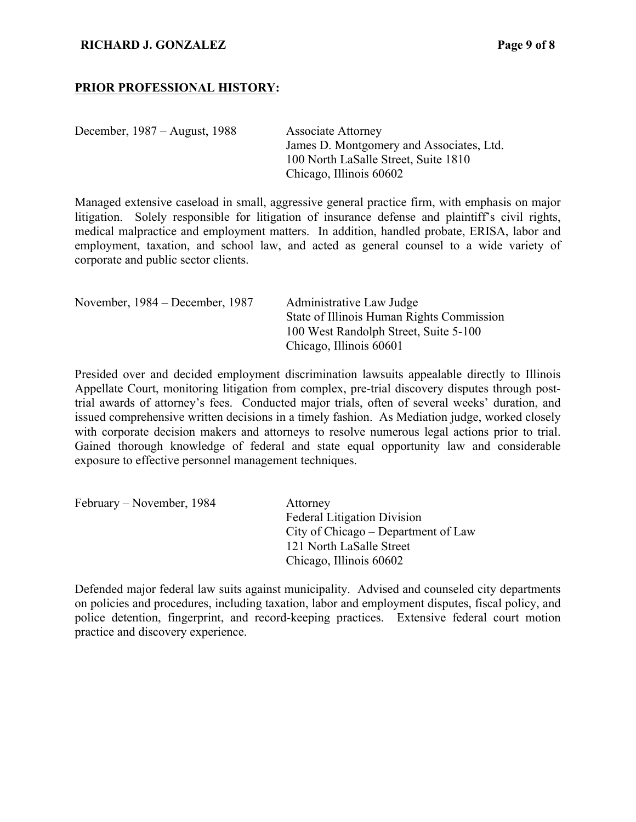#### **RICHARD J. GONZALEZ Page 9 of 8**

#### **PRIOR PROFESSIONAL HISTORY:**

December, 1987 – August, 1988 Associate Attorney

James D. Montgomery and Associates, Ltd. 100 North LaSalle Street, Suite 1810 Chicago, Illinois 60602

Managed extensive caseload in small, aggressive general practice firm, with emphasis on major litigation. Solely responsible for litigation of insurance defense and plaintiff's civil rights, medical malpractice and employment matters. In addition, handled probate, ERISA, labor and employment, taxation, and school law, and acted as general counsel to a wide variety of corporate and public sector clients.

| November, 1984 – December, 1987 | Administrative Law Judge                  |
|---------------------------------|-------------------------------------------|
|                                 | State of Illinois Human Rights Commission |
|                                 | 100 West Randolph Street, Suite 5-100     |
|                                 | Chicago, Illinois 60601                   |

Presided over and decided employment discrimination lawsuits appealable directly to Illinois Appellate Court, monitoring litigation from complex, pre-trial discovery disputes through posttrial awards of attorney's fees. Conducted major trials, often of several weeks' duration, and issued comprehensive written decisions in a timely fashion. As Mediation judge, worked closely with corporate decision makers and attorneys to resolve numerous legal actions prior to trial. Gained thorough knowledge of federal and state equal opportunity law and considerable exposure to effective personnel management techniques.

| February – November, 1984 | Attorney                            |
|---------------------------|-------------------------------------|
|                           | <b>Federal Litigation Division</b>  |
|                           | City of Chicago – Department of Law |
|                           | 121 North LaSalle Street            |
|                           | Chicago, Illinois 60602             |

Defended major federal law suits against municipality. Advised and counseled city departments on policies and procedures, including taxation, labor and employment disputes, fiscal policy, and police detention, fingerprint, and record-keeping practices. Extensive federal court motion practice and discovery experience.